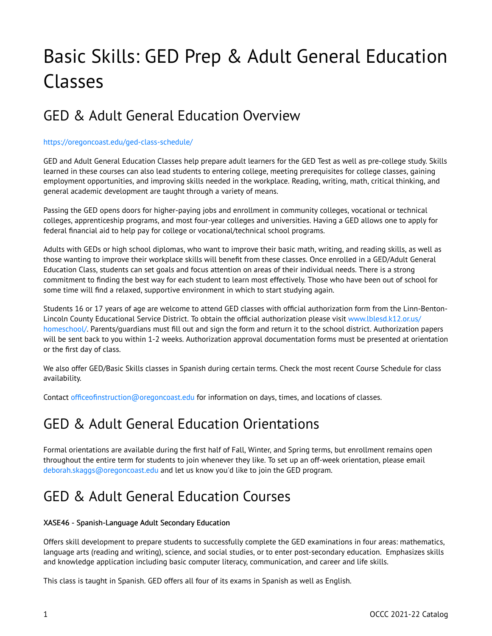# Basic Skills: GED Prep & Adult General Education Classes

# GED & Adult General Education Overview

## <https://oregoncoast.edu/ged-class-schedule/>

GED and Adult General Education Classes help prepare adult learners for the GED Test as well as pre-college study. Skills learned in these courses can also lead students to entering college, meeting prerequisites for college classes, gaining employment opportunities, and improving skills needed in the workplace. Reading, writing, math, critical thinking, and general academic development are taught through a variety of means.

Passing the GED opens doors for higher-paying jobs and enrollment in community colleges, vocational or technical colleges, apprenticeship programs, and most four-year colleges and universities. Having a GED allows one to apply for federal financial aid to help pay for college or vocational/technical school programs.

Adults with GEDs or high school diplomas, who want to improve their basic math, writing, and reading skills, as well as those wanting to improve their workplace skills will benefit from these classes. Once enrolled in a GED/Adult General Education Class, students can set goals and focus attention on areas of their individual needs. There is a strong commitment to finding the best way for each student to learn most effectively. Those who have been out of school for some time will find a relaxed, supportive environment in which to start studying again.

Students 16 or 17 years of age are welcome to attend GED classes with official authorization form from the Linn-Benton-Lincoln County Educational Service District. To obtain the official authorization please visit [www.lblesd.k12.or.us/](https://catalog.oregoncoastcc.org/www.lblesd.k12.or.us/homeschool/) [homeschool/](https://catalog.oregoncoastcc.org/www.lblesd.k12.or.us/homeschool/). Parents/guardians must fill out and sign the form and return it to the school district. Authorization papers will be sent back to you within 1-2 weeks. Authorization approval documentation forms must be presented at orientation or the first day of class.

We also offer GED/Basic Skills classes in Spanish during certain terms. Check the most recent Course Schedule for class availability.

Contact [officeofinstruction@oregoncoast.edu](mailto:officeofinstruction@oregoncoast.edu) for information on days, times, and locations of classes.

# GED & Adult General Education Orientations

Formal orientations are available during the first half of Fall, Winter, and Spring terms, but enrollment remains open throughout the entire term for students to join whenever they like. To set up an off-week orientation, please email [deborah.skaggs@oregoncoast.edu](mailto:steven.seney@oregoncoast.edu) and let us know you'd like to join the GED program.

# GED & Adult General Education Courses

## XASE46 - Spanish-Language Adult Secondary Education

Offers skill development to prepare students to successfully complete the GED examinations in four areas: mathematics, language arts (reading and writing), science, and social studies, or to enter post-secondary education. Emphasizes skills and knowledge application including basic computer literacy, communication, and career and life skills.

This class is taught in Spanish. GED offers all four of its exams in Spanish as well as English.